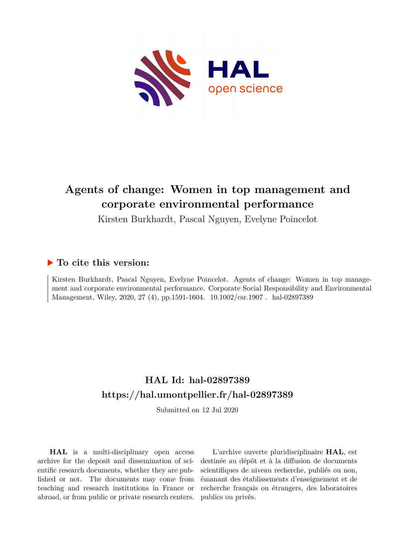

# **Agents of change: Women in top management and corporate environmental performance**

Kirsten Burkhardt, Pascal Nguyen, Evelyne Poincelot

# **To cite this version:**

Kirsten Burkhardt, Pascal Nguyen, Evelyne Poincelot. Agents of change: Women in top management and corporate environmental performance. Corporate Social Responsibility and Environmental Management, Wiley, 2020, 27 (4), pp.1591-1604.  $10.1002/\text{csr}.1907$ . hal-02897389

# **HAL Id: hal-02897389 <https://hal.umontpellier.fr/hal-02897389>**

Submitted on 12 Jul 2020

**HAL** is a multi-disciplinary open access archive for the deposit and dissemination of scientific research documents, whether they are published or not. The documents may come from teaching and research institutions in France or abroad, or from public or private research centers.

L'archive ouverte pluridisciplinaire **HAL**, est destinée au dépôt et à la diffusion de documents scientifiques de niveau recherche, publiés ou non, émanant des établissements d'enseignement et de recherche français ou étrangers, des laboratoires publics ou privés.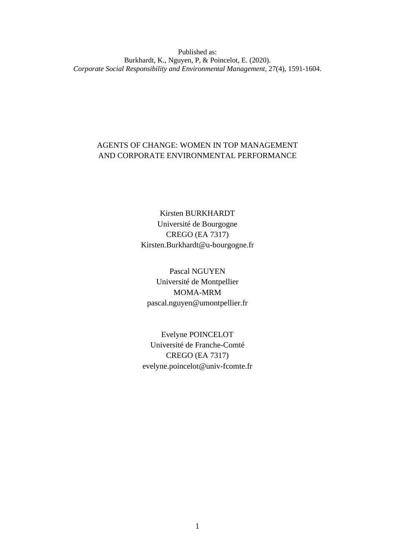Published as: Burkhardt, K., Nguyen, P, & Poincelot, E. (2020). *Corporate Social Responsibility and Environmental Management*, 27(4), 1591-1604.

# AGENTS OF CHANGE: WOMEN IN TOP MANAGEMENT AND CORPORATE ENVIRONMENTAL PERFORMANCE

Kirsten BURKHARDT Université de Bourgogne CREGO (EA 7317) Kirsten.Burkhardt@u-bourgogne.fr

Pascal NGUYEN Université de Montpellier MOMA-MRM pascal.nguyen@umontpellier.fr

Evelyne POINCELOT Université de Franche-Comté CREGO (EA 7317) evelyne.poincelot@univ-fcomte.fr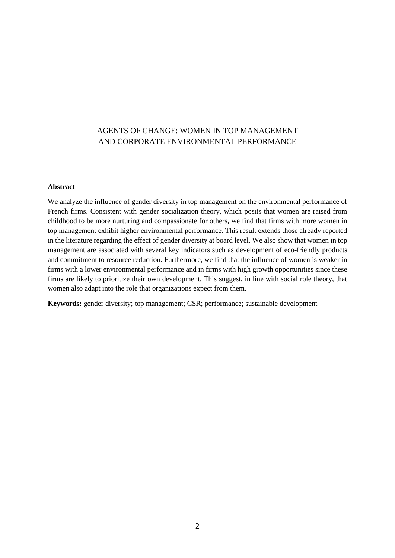# AGENTS OF CHANGE: WOMEN IN TOP MANAGEMENT AND CORPORATE ENVIRONMENTAL PERFORMANCE

#### **Abstract**

We analyze the influence of gender diversity in top management on the environmental performance of French firms. Consistent with gender socialization theory, which posits that women are raised from childhood to be more nurturing and compassionate for others, we find that firms with more women in top management exhibit higher environmental performance. This result extends those already reported in the literature regarding the effect of gender diversity at board level. We also show that women in top management are associated with several key indicators such as development of eco-friendly products and commitment to resource reduction. Furthermore, we find that the influence of women is weaker in firms with a lower environmental performance and in firms with high growth opportunities since these firms are likely to prioritize their own development. This suggest, in line with social role theory, that women also adapt into the role that organizations expect from them.

**Keywords:** gender diversity; top management; CSR; performance; sustainable development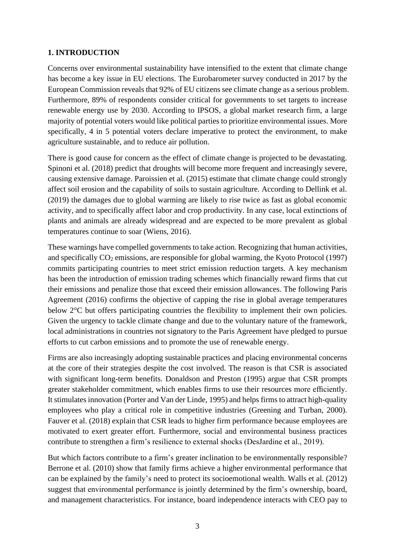# **1. INTRODUCTION**

Concerns over environmental sustainability have intensified to the extent that climate change has become a key issue in EU elections. The Eurobarometer survey conducted in 2017 by the European Commission reveals that 92% of EU citizens see climate change as a serious problem. Furthermore, 89% of respondents consider critical for governments to set targets to increase renewable energy use by 2030. According to IPSOS, a global market research firm, a large majority of potential voters would like political parties to prioritize environmental issues. More specifically, 4 in 5 potential voters declare imperative to protect the environment, to make agriculture sustainable, and to reduce air pollution.

There is good cause for concern as the effect of climate change is projected to be devastating. Spinoni et al. (2018) predict that droughts will become more frequent and increasingly severe, causing extensive damage. Paroissien et al. (2015) estimate that climate change could strongly affect soil erosion and the capability of soils to sustain agriculture. According to Dellink et al. (2019) the damages due to global warming are likely to rise twice as fast as global economic activity, and to specifically affect labor and crop productivity. In any case, local extinctions of plants and animals are already widespread and are expected to be more prevalent as global temperatures continue to soar (Wiens, 2016).

These warnings have compelled governments to take action. Recognizing that human activities, and specifically  $CO_2$  emissions, are responsible for global warming, the Kyoto Protocol (1997) commits participating countries to meet strict emission reduction targets. A key mechanism has been the introduction of emission trading schemes which financially reward firms that cut their emissions and penalize those that exceed their emission allowances. The following Paris Agreement (2016) confirms the objective of capping the rise in global average temperatures below 2°C but offers participating countries the flexibility to implement their own policies. Given the urgency to tackle climate change and due to the voluntary nature of the framework, local administrations in countries not signatory to the Paris Agreement have pledged to pursue efforts to cut carbon emissions and to promote the use of renewable energy.

Firms are also increasingly adopting sustainable practices and placing environmental concerns at the core of their strategies despite the cost involved. The reason is that CSR is associated with significant long-term benefits. Donaldson and Preston (1995) argue that CSR prompts greater stakeholder commitment, which enables firms to use their resources more efficiently. It stimulates innovation (Porter and Van der Linde, 1995) and helps firms to attract high-quality employees who play a critical role in competitive industries (Greening and Turban, 2000). Fauver et al. (2018) explain that CSR leads to higher firm performance because employees are motivated to exert greater effort. Furthermore, social and environmental business practices contribute to strengthen a firm's resilience to external shocks (DesJardine et al., 2019).

But which factors contribute to a firm's greater inclination to be environmentally responsible? Berrone et al. (2010) show that family firms achieve a higher environmental performance that can be explained by the family's need to protect its socioemotional wealth. Walls et al. (2012) suggest that environmental performance is jointly determined by the firm's ownership, board, and management characteristics. For instance, board independence interacts with CEO pay to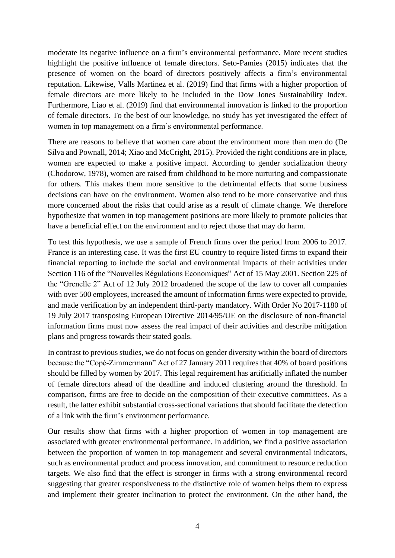moderate its negative influence on a firm's environmental performance. More recent studies highlight the positive influence of female directors. Seto-Pamies (2015) indicates that the presence of women on the board of directors positively affects a firm's environmental reputation. Likewise, Valls Martinez et al. (2019) find that firms with a higher proportion of female directors are more likely to be included in the Dow Jones Sustainability Index. Furthermore, Liao et al. (2019) find that environmental innovation is linked to the proportion of female directors. To the best of our knowledge, no study has yet investigated the effect of women in top management on a firm's environmental performance.

There are reasons to believe that women care about the environment more than men do (De Silva and Pownall, 2014; Xiao and McCright, 2015). Provided the right conditions are in place, women are expected to make a positive impact. According to gender socialization theory (Chodorow, 1978), women are raised from childhood to be more nurturing and compassionate for others. This makes them more sensitive to the detrimental effects that some business decisions can have on the environment. Women also tend to be more conservative and thus more concerned about the risks that could arise as a result of climate change. We therefore hypothesize that women in top management positions are more likely to promote policies that have a beneficial effect on the environment and to reject those that may do harm.

To test this hypothesis, we use a sample of French firms over the period from 2006 to 2017. France is an interesting case. It was the first EU country to require listed firms to expand their financial reporting to include the social and environmental impacts of their activities under Section 116 of the "Nouvelles Régulations Economiques" Act of 15 May 2001. Section 225 of the "Grenelle 2" Act of 12 July 2012 broadened the scope of the law to cover all companies with over 500 employees, increased the amount of information firms were expected to provide, and made verification by an independent third-party mandatory. With Order No 2017-1180 of 19 July 2017 transposing European Directive 2014/95/UE on the disclosure of non-financial information firms must now assess the real impact of their activities and describe mitigation plans and progress towards their stated goals.

In contrast to previous studies, we do not focus on gender diversity within the board of directors because the "Copé-Zimmermann" Act of 27 January 2011 requires that 40% of board positions should be filled by women by 2017. This legal requirement has artificially inflated the number of female directors ahead of the deadline and induced clustering around the threshold. In comparison, firms are free to decide on the composition of their executive committees. As a result, the latter exhibit substantial cross-sectional variations that should facilitate the detection of a link with the firm's environment performance.

Our results show that firms with a higher proportion of women in top management are associated with greater environmental performance. In addition, we find a positive association between the proportion of women in top management and several environmental indicators, such as environmental product and process innovation, and commitment to resource reduction targets. We also find that the effect is stronger in firms with a strong environmental record suggesting that greater responsiveness to the distinctive role of women helps them to express and implement their greater inclination to protect the environment. On the other hand, the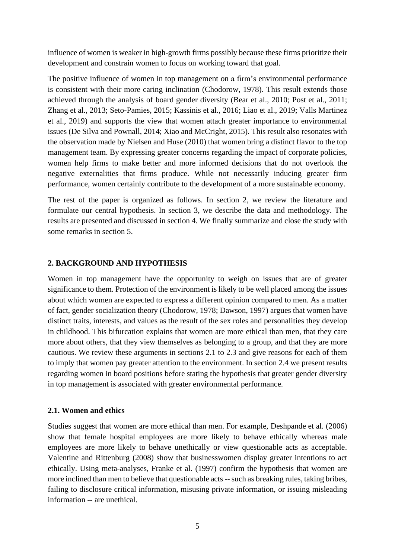influence of women is weaker in high-growth firms possibly because these firms prioritize their development and constrain women to focus on working toward that goal.

The positive influence of women in top management on a firm's environmental performance is consistent with their more caring inclination (Chodorow, 1978). This result extends those achieved through the analysis of board gender diversity (Bear et al., 2010; Post et al., 2011; Zhang et al., 2013; Seto-Pamies, 2015; Kassinis et al., 2016; Liao et al., 2019; Valls Martinez et al., 2019) and supports the view that women attach greater importance to environmental issues (De Silva and Pownall, 2014; Xiao and McCright, 2015). This result also resonates with the observation made by Nielsen and Huse (2010) that women bring a distinct flavor to the top management team. By expressing greater concerns regarding the impact of corporate policies, women help firms to make better and more informed decisions that do not overlook the negative externalities that firms produce. While not necessarily inducing greater firm performance, women certainly contribute to the development of a more sustainable economy.

The rest of the paper is organized as follows. In section 2, we review the literature and formulate our central hypothesis. In section 3, we describe the data and methodology. The results are presented and discussed in section 4. We finally summarize and close the study with some remarks in section 5.

# **2. BACKGROUND AND HYPOTHESIS**

Women in top management have the opportunity to weigh on issues that are of greater significance to them. Protection of the environment is likely to be well placed among the issues about which women are expected to express a different opinion compared to men. As a matter of fact, gender socialization theory (Chodorow, 1978; Dawson, 1997) argues that women have distinct traits, interests, and values as the result of the sex roles and personalities they develop in childhood. This bifurcation explains that women are more ethical than men, that they care more about others, that they view themselves as belonging to a group, and that they are more cautious. We review these arguments in sections 2.1 to 2.3 and give reasons for each of them to imply that women pay greater attention to the environment. In section 2.4 we present results regarding women in board positions before stating the hypothesis that greater gender diversity in top management is associated with greater environmental performance.

#### **2.1. Women and ethics**

Studies suggest that women are more ethical than men. For example, Deshpande et al. (2006) show that female hospital employees are more likely to behave ethically whereas male employees are more likely to behave unethically or view questionable acts as acceptable. Valentine and Rittenburg (2008) show that businesswomen display greater intentions to act ethically. Using meta-analyses, Franke et al. (1997) confirm the hypothesis that women are more inclined than men to believe that questionable acts -- such as breaking rules, taking bribes, failing to disclosure critical information, misusing private information, or issuing misleading information -- are unethical.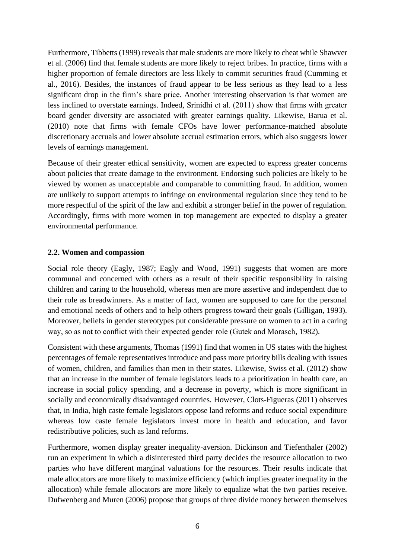Furthermore, Tibbetts (1999) reveals that male students are more likely to cheat while Shawver et al. (2006) find that female students are more likely to reject bribes. In practice, firms with a higher proportion of female directors are less likely to commit securities fraud (Cumming et al., 2016). Besides, the instances of fraud appear to be less serious as they lead to a less significant drop in the firm's share price. Another interesting observation is that women are less inclined to overstate earnings. Indeed, Srinidhi et al. (2011) show that firms with greater board gender diversity are associated with greater earnings quality. Likewise, Barua et al. (2010) note that firms with female CFOs have lower performance-matched absolute discretionary accruals and lower absolute accrual estimation errors, which also suggests lower levels of earnings management.

Because of their greater ethical sensitivity, women are expected to express greater concerns about policies that create damage to the environment. Endorsing such policies are likely to be viewed by women as unacceptable and comparable to committing fraud. In addition, women are unlikely to support attempts to infringe on environmental regulation since they tend to be more respectful of the spirit of the law and exhibit a stronger belief in the power of regulation. Accordingly, firms with more women in top management are expected to display a greater environmental performance.

# **2.2. Women and compassion**

Social role theory (Eagly, 1987; Eagly and Wood, 1991) suggests that women are more communal and concerned with others as a result of their specific responsibility in raising children and caring to the household, whereas men are more assertive and independent due to their role as breadwinners. As a matter of fact, women are supposed to care for the personal and emotional needs of others and to help others progress toward their goals (Gilligan, 1993). Moreover, beliefs in gender stereotypes put considerable pressure on women to act in a caring way, so as not to conflict with their expected gender role (Gutek and Morasch, 1982).

Consistent with these arguments, Thomas (1991) find that women in US states with the highest percentages of female representatives introduce and pass more priority bills dealing with issues of women, children, and families than men in their states. Likewise, Swiss et al. (2012) show that an increase in the number of female legislators leads to a prioritization in health care, an increase in social policy spending, and a decrease in poverty, which is more significant in socially and economically disadvantaged countries. However, Clots-Figueras (2011) observes that, in India, high caste female legislators oppose land reforms and reduce social expenditure whereas low caste female legislators invest more in health and education, and favor redistributive policies, such as land reforms.

Furthermore, women display greater inequality-aversion. Dickinson and Tiefenthaler (2002) run an experiment in which a disinterested third party decides the resource allocation to two parties who have different marginal valuations for the resources. Their results indicate that male allocators are more likely to maximize efficiency (which implies greater inequality in the allocation) while female allocators are more likely to equalize what the two parties receive. Dufwenberg and Muren (2006) propose that groups of three divide money between themselves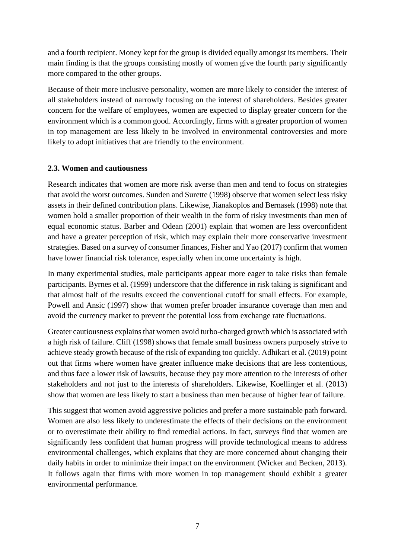and a fourth recipient. Money kept for the group is divided equally amongst its members. Their main finding is that the groups consisting mostly of women give the fourth party significantly more compared to the other groups.

Because of their more inclusive personality, women are more likely to consider the interest of all stakeholders instead of narrowly focusing on the interest of shareholders. Besides greater concern for the welfare of employees, women are expected to display greater concern for the environment which is a common good. Accordingly, firms with a greater proportion of women in top management are less likely to be involved in environmental controversies and more likely to adopt initiatives that are friendly to the environment.

# **2.3. Women and cautiousness**

Research indicates that women are more risk averse than men and tend to focus on strategies that avoid the worst outcomes. Sunden and Surette (1998) observe that women select less risky assets in their defined contribution plans. Likewise, Jianakoplos and Bernasek (1998) note that women hold a smaller proportion of their wealth in the form of risky investments than men of equal economic status. Barber and Odean (2001) explain that women are less overconfident and have a greater perception of risk, which may explain their more conservative investment strategies. Based on a survey of consumer finances, Fisher and Yao (2017) confirm that women have lower financial risk tolerance, especially when income uncertainty is high.

In many experimental studies, male participants appear more eager to take risks than female participants. Byrnes et al. (1999) underscore that the difference in risk taking is significant and that almost half of the results exceed the conventional cutoff for small effects. For example, Powell and Ansic (1997) show that women prefer broader insurance coverage than men and avoid the currency market to prevent the potential loss from exchange rate fluctuations.

Greater cautiousness explains that women avoid turbo-charged growth which is associated with a high risk of failure. Cliff (1998) shows that female small business owners purposely strive to achieve steady growth because of the risk of expanding too quickly. Adhikari et al. (2019) point out that firms where women have greater influence make decisions that are less contentious, and thus face a lower risk of lawsuits, because they pay more attention to the interests of other stakeholders and not just to the interests of shareholders. Likewise, Koellinger et al. (2013) show that women are less likely to start a business than men because of higher fear of failure.

This suggest that women avoid aggressive policies and prefer a more sustainable path forward. Women are also less likely to underestimate the effects of their decisions on the environment or to overestimate their ability to find remedial actions. In fact, surveys find that women are significantly less confident that human progress will provide technological means to address environmental challenges, which explains that they are more concerned about changing their daily habits in order to minimize their impact on the environment (Wicker and Becken, 2013). It follows again that firms with more women in top management should exhibit a greater environmental performance.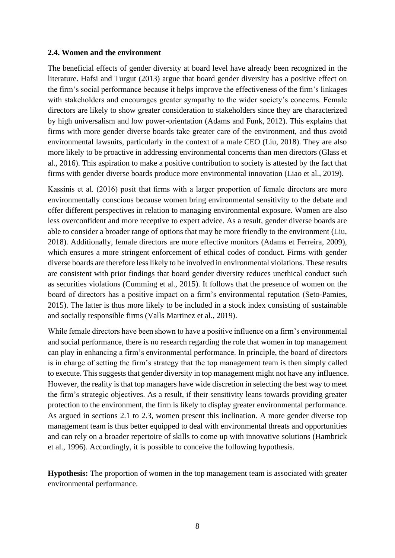#### **2.4. Women and the environment**

The beneficial effects of gender diversity at board level have already been recognized in the literature. Hafsi and Turgut (2013) argue that board gender diversity has a positive effect on the firm's social performance because it helps improve the effectiveness of the firm's linkages with stakeholders and encourages greater sympathy to the wider society's concerns. Female directors are likely to show greater consideration to stakeholders since they are characterized by high universalism and low power-orientation (Adams and Funk, 2012). This explains that firms with more gender diverse boards take greater care of the environment, and thus avoid environmental lawsuits, particularly in the context of a male CEO (Liu, 2018). They are also more likely to be proactive in addressing environmental concerns than men directors (Glass et al., 2016). This aspiration to make a positive contribution to society is attested by the fact that firms with gender diverse boards produce more environmental innovation (Liao et al., 2019).

Kassinis et al. (2016) posit that firms with a larger proportion of female directors are more environmentally conscious because women bring environmental sensitivity to the debate and offer different perspectives in relation to managing environmental exposure. Women are also less overconfident and more receptive to expert advice. As a result, gender diverse boards are able to consider a broader range of options that may be more friendly to the environment (Liu, 2018). Additionally, female directors are more effective monitors (Adams et Ferreira, 2009), which ensures a more stringent enforcement of ethical codes of conduct. Firms with gender diverse boards are therefore less likely to be involved in environmental violations. These results are consistent with prior findings that board gender diversity reduces unethical conduct such as securities violations (Cumming et al., 2015). It follows that the presence of women on the board of directors has a positive impact on a firm's environmental reputation (Seto-Pamies, 2015). The latter is thus more likely to be included in a stock index consisting of sustainable and socially responsible firms (Valls Martinez et al., 2019).

While female directors have been shown to have a positive influence on a firm's environmental and social performance, there is no research regarding the role that women in top management can play in enhancing a firm's environmental performance. In principle, the board of directors is in charge of setting the firm's strategy that the top management team is then simply called to execute. This suggests that gender diversity in top management might not have any influence. However, the reality is that top managers have wide discretion in selecting the best way to meet the firm's strategic objectives. As a result, if their sensitivity leans towards providing greater protection to the environment, the firm is likely to display greater environmental performance. As argued in sections 2.1 to 2.3, women present this inclination. A more gender diverse top management team is thus better equipped to deal with environmental threats and opportunities and can rely on a broader repertoire of skills to come up with innovative solutions (Hambrick et al., 1996). Accordingly, it is possible to conceive the following hypothesis.

**Hypothesis:** The proportion of women in the top management team is associated with greater environmental performance.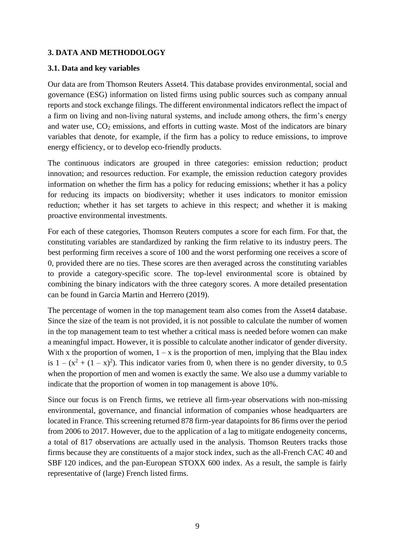# **3. DATA AND METHODOLOGY**

#### **3.1. Data and key variables**

Our data are from Thomson Reuters Asset4. This database provides environmental, social and governance (ESG) information on listed firms using public sources such as company annual reports and stock exchange filings. The different environmental indicators reflect the impact of a firm on living and non-living natural systems, and include among others, the firm's energy and water use,  $CO<sub>2</sub>$  emissions, and efforts in cutting waste. Most of the indicators are binary variables that denote, for example, if the firm has a policy to reduce emissions, to improve energy efficiency, or to develop eco-friendly products.

The continuous indicators are grouped in three categories: emission reduction; product innovation; and resources reduction. For example, the emission reduction category provides information on whether the firm has a policy for reducing emissions; whether it has a policy for reducing its impacts on biodiversity; whether it uses indicators to monitor emission reduction; whether it has set targets to achieve in this respect; and whether it is making proactive environmental investments.

For each of these categories, Thomson Reuters computes a score for each firm. For that, the constituting variables are standardized by ranking the firm relative to its industry peers. The best performing firm receives a score of 100 and the worst performing one receives a score of 0, provided there are no ties. These scores are then averaged across the constituting variables to provide a category-specific score. The top-level environmental score is obtained by combining the binary indicators with the three category scores. A more detailed presentation can be found in Garcia Martin and Herrero (2019).

The percentage of women in the top management team also comes from the Asset4 database. Since the size of the team is not provided, it is not possible to calculate the number of women in the top management team to test whether a critical mass is needed before women can make a meaningful impact. However, it is possible to calculate another indicator of gender diversity. With x the proportion of women,  $1 - x$  is the proportion of men, implying that the Blau index is  $1 - (x^2 + (1 - x)^2)$ . This indicator varies from 0, when there is no gender diversity, to 0.5 when the proportion of men and women is exactly the same. We also use a dummy variable to indicate that the proportion of women in top management is above 10%.

Since our focus is on French firms, we retrieve all firm-year observations with non-missing environmental, governance, and financial information of companies whose headquarters are located in France. This screening returned 878 firm-year datapoints for 86 firms over the period from 2006 to 2017. However, due to the application of a lag to mitigate endogeneity concerns, a total of 817 observations are actually used in the analysis. Thomson Reuters tracks those firms because they are constituents of a major stock index, such as the all-French CAC 40 and SBF 120 indices, and the pan-European STOXX 600 index. As a result, the sample is fairly representative of (large) French listed firms.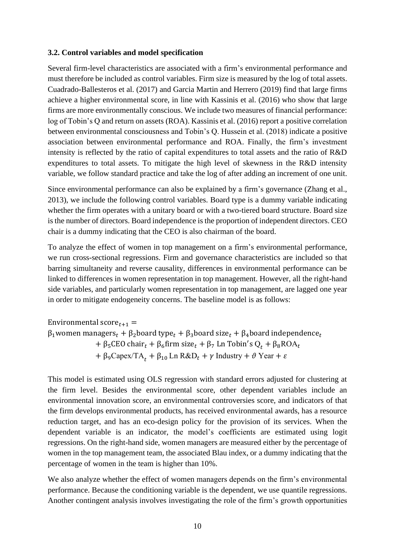#### **3.2. Control variables and model specification**

Several firm-level characteristics are associated with a firm's environmental performance and must therefore be included as control variables. Firm size is measured by the log of total assets. Cuadrado-Ballesteros et al. (2017) and Garcia Martin and Herrero (2019) find that large firms achieve a higher environmental score, in line with Kassinis et al. (2016) who show that large firms are more environmentally conscious. We include two measures of financial performance: log of Tobin's Q and return on assets (ROA). Kassinis et al. (2016) report a positive correlation between environmental consciousness and Tobin's Q. Hussein et al. (2018) indicate a positive association between environmental performance and ROA. Finally, the firm's investment intensity is reflected by the ratio of capital expenditures to total assets and the ratio of R&D expenditures to total assets. To mitigate the high level of skewness in the R&D intensity variable, we follow standard practice and take the log of after adding an increment of one unit.

Since environmental performance can also be explained by a firm's governance (Zhang et al., 2013), we include the following control variables. Board type is a dummy variable indicating whether the firm operates with a unitary board or with a two-tiered board structure. Board size is the number of directors. Board independence is the proportion of independent directors. CEO chair is a dummy indicating that the CEO is also chairman of the board.

To analyze the effect of women in top management on a firm's environmental performance, we run cross-sectional regressions. Firm and governance characteristics are included so that barring simultaneity and reverse causality, differences in environmental performance can be linked to differences in women representation in top management. However, all the right-hand side variables, and particularly women representation in top management, are lagged one year in order to mitigate endogeneity concerns. The baseline model is as follows:

Environmental score $t_{t+1}$  =  $β_1$ women managers<sub>t</sub> +  $β_2$ board type<sub>t</sub> +  $β_3$ board size<sub>t</sub> +  $β_4$ board independence<sub>t</sub> + β<sub>5</sub>CEO chair<sub>t</sub> + β<sub>6</sub>firm size<sub>t</sub> + β<sub>7</sub> Ln Tobin's  $Q_t$  + β<sub>8</sub>ROA<sub>t</sub> + β<sub>9</sub>Capex/TA<sub>t</sub> +  $\beta_{10}$  Ln R&D<sub>t</sub> +  $\gamma$  Industry +  $\vartheta$  Year +  $\varepsilon$ 

This model is estimated using OLS regression with standard errors adjusted for clustering at the firm level. Besides the environmental score, other dependent variables include an environmental innovation score, an environmental controversies score, and indicators of that the firm develops environmental products, has received environmental awards, has a resource reduction target, and has an eco-design policy for the provision of its services. When the dependent variable is an indicator, the model's coefficients are estimated using logit regressions. On the right-hand side, women managers are measured either by the percentage of women in the top management team, the associated Blau index, or a dummy indicating that the percentage of women in the team is higher than 10%.

We also analyze whether the effect of women managers depends on the firm's environmental performance. Because the conditioning variable is the dependent, we use quantile regressions. Another contingent analysis involves investigating the role of the firm's growth opportunities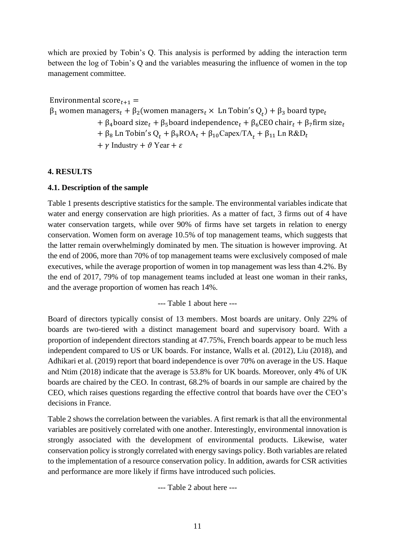which are proxied by Tobin's Q. This analysis is performed by adding the interaction term between the log of Tobin's Q and the variables measuring the influence of women in the top management committee.

Environmental score $_{t+1}$  =  $β_1$  women managers<sub>t</sub> +  $β_2$ (women managers<sub>t</sub> × Ln Tobin's  $Q_t$ ) +  $β_3$  board type<sub>t</sub> +  $\beta_4$ board size<sub>t</sub> +  $\beta_5$ board independence<sub>t</sub> +  $\beta_6$ CEO chair<sub>t</sub> +  $\beta_7$ firm size<sub>t</sub> + β<sub>8</sub> Ln Tobin's Q<sub>t</sub> + β<sub>9</sub>ROA<sub>t</sub> + β<sub>10</sub>Capex/TA<sub>t</sub> + β<sub>11</sub> Ln R&D<sub>t</sub> +  $\gamma$  Industry +  $\vartheta$  Year +  $\varepsilon$ 

# **4. RESULTS**

# **4.1. Description of the sample**

Table 1 presents descriptive statistics for the sample. The environmental variables indicate that water and energy conservation are high priorities. As a matter of fact, 3 firms out of 4 have water conservation targets, while over 90% of firms have set targets in relation to energy conservation. Women form on average 10.5% of top management teams, which suggests that the latter remain overwhelmingly dominated by men. The situation is however improving. At the end of 2006, more than 70% of top management teams were exclusively composed of male executives, while the average proportion of women in top management was less than 4.2%. By the end of 2017, 79% of top management teams included at least one woman in their ranks, and the average proportion of women has reach 14%.

--- Table 1 about here ---

Board of directors typically consist of 13 members. Most boards are unitary. Only 22% of boards are two-tiered with a distinct management board and supervisory board. With a proportion of independent directors standing at 47.75%, French boards appear to be much less independent compared to US or UK boards. For instance, Walls et al. (2012), Liu (2018), and Adhikari et al. (2019) report that board independence is over 70% on average in the US. Haque and Ntim (2018) indicate that the average is 53.8% for UK boards. Moreover, only 4% of UK boards are chaired by the CEO. In contrast, 68.2% of boards in our sample are chaired by the CEO, which raises questions regarding the effective control that boards have over the CEO's decisions in France.

Table 2 shows the correlation between the variables. A first remark is that all the environmental variables are positively correlated with one another. Interestingly, environmental innovation is strongly associated with the development of environmental products. Likewise, water conservation policy is strongly correlated with energy savings policy. Both variables are related to the implementation of a resource conservation policy. In addition, awards for CSR activities and performance are more likely if firms have introduced such policies.

--- Table 2 about here ---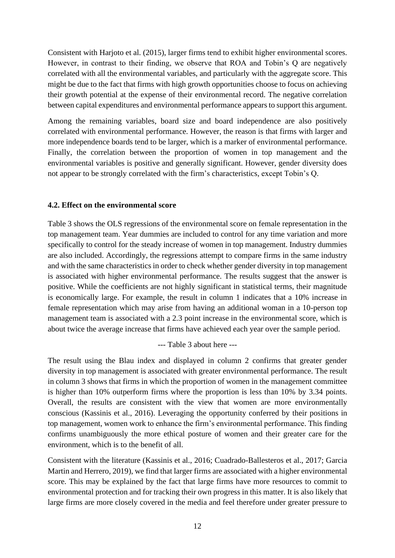Consistent with Harjoto et al. (2015), larger firms tend to exhibit higher environmental scores. However, in contrast to their finding, we observe that ROA and Tobin's Q are negatively correlated with all the environmental variables, and particularly with the aggregate score. This might be due to the fact that firms with high growth opportunities choose to focus on achieving their growth potential at the expense of their environmental record. The negative correlation between capital expenditures and environmental performance appears to support this argument.

Among the remaining variables, board size and board independence are also positively correlated with environmental performance. However, the reason is that firms with larger and more independence boards tend to be larger, which is a marker of environmental performance. Finally, the correlation between the proportion of women in top management and the environmental variables is positive and generally significant. However, gender diversity does not appear to be strongly correlated with the firm's characteristics, except Tobin's Q.

#### **4.2. Effect on the environmental score**

Table 3 shows the OLS regressions of the environmental score on female representation in the top management team. Year dummies are included to control for any time variation and more specifically to control for the steady increase of women in top management. Industry dummies are also included. Accordingly, the regressions attempt to compare firms in the same industry and with the same characteristics in order to check whether gender diversity in top management is associated with higher environmental performance. The results suggest that the answer is positive. While the coefficients are not highly significant in statistical terms, their magnitude is economically large. For example, the result in column 1 indicates that a 10% increase in female representation which may arise from having an additional woman in a 10-person top management team is associated with a 2.3 point increase in the environmental score, which is about twice the average increase that firms have achieved each year over the sample period.

--- Table 3 about here ---

The result using the Blau index and displayed in column 2 confirms that greater gender diversity in top management is associated with greater environmental performance. The result in column 3 shows that firms in which the proportion of women in the management committee is higher than 10% outperform firms where the proportion is less than 10% by 3.34 points. Overall, the results are consistent with the view that women are more environmentally conscious (Kassinis et al., 2016). Leveraging the opportunity conferred by their positions in top management, women work to enhance the firm's environmental performance. This finding confirms unambiguously the more ethical posture of women and their greater care for the environment, which is to the benefit of all.

Consistent with the literature (Kassinis et al., 2016; Cuadrado-Ballesteros et al., 2017; Garcia Martin and Herrero, 2019), we find that larger firms are associated with a higher environmental score. This may be explained by the fact that large firms have more resources to commit to environmental protection and for tracking their own progress in this matter. It is also likely that large firms are more closely covered in the media and feel therefore under greater pressure to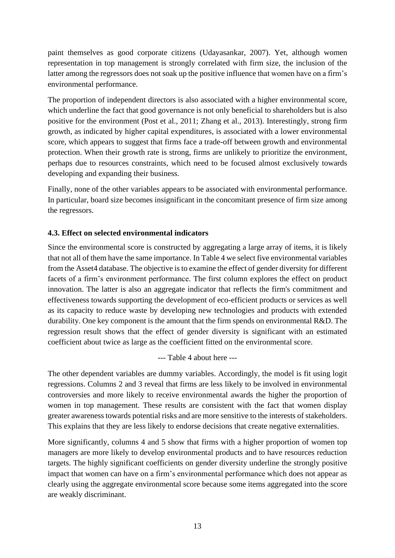paint themselves as good corporate citizens (Udayasankar, 2007). Yet, although women representation in top management is strongly correlated with firm size, the inclusion of the latter among the regressors does not soak up the positive influence that women have on a firm's environmental performance.

The proportion of independent directors is also associated with a higher environmental score, which underline the fact that good governance is not only beneficial to shareholders but is also positive for the environment (Post et al., 2011; Zhang et al., 2013). Interestingly, strong firm growth, as indicated by higher capital expenditures, is associated with a lower environmental score, which appears to suggest that firms face a trade-off between growth and environmental protection. When their growth rate is strong, firms are unlikely to prioritize the environment, perhaps due to resources constraints, which need to be focused almost exclusively towards developing and expanding their business.

Finally, none of the other variables appears to be associated with environmental performance. In particular, board size becomes insignificant in the concomitant presence of firm size among the regressors.

# **4.3. Effect on selected environmental indicators**

Since the environmental score is constructed by aggregating a large array of items, it is likely that not all of them have the same importance. In Table 4 we select five environmental variables from the Asset4 database. The objective is to examine the effect of gender diversity for different facets of a firm's environment performance. The first column explores the effect on product innovation. The latter is also an aggregate indicator that reflects the firm's commitment and effectiveness towards supporting the development of eco-efficient products or services as well as its capacity to reduce waste by developing new technologies and products with extended durability. One key component is the amount that the firm spends on environmental R&D. The regression result shows that the effect of gender diversity is significant with an estimated coefficient about twice as large as the coefficient fitted on the environmental score.

--- Table 4 about here ---

The other dependent variables are dummy variables. Accordingly, the model is fit using logit regressions. Columns 2 and 3 reveal that firms are less likely to be involved in environmental controversies and more likely to receive environmental awards the higher the proportion of women in top management. These results are consistent with the fact that women display greater awareness towards potential risks and are more sensitive to the interests of stakeholders. This explains that they are less likely to endorse decisions that create negative externalities.

More significantly, columns 4 and 5 show that firms with a higher proportion of women top managers are more likely to develop environmental products and to have resources reduction targets. The highly significant coefficients on gender diversity underline the strongly positive impact that women can have on a firm's environmental performance which does not appear as clearly using the aggregate environmental score because some items aggregated into the score are weakly discriminant.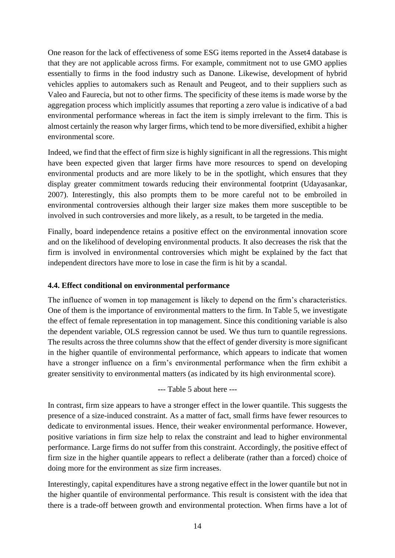One reason for the lack of effectiveness of some ESG items reported in the Asset4 database is that they are not applicable across firms. For example, commitment not to use GMO applies essentially to firms in the food industry such as Danone. Likewise, development of hybrid vehicles applies to automakers such as Renault and Peugeot, and to their suppliers such as Valeo and Faurecia, but not to other firms. The specificity of these items is made worse by the aggregation process which implicitly assumes that reporting a zero value is indicative of a bad environmental performance whereas in fact the item is simply irrelevant to the firm. This is almost certainly the reason why larger firms, which tend to be more diversified, exhibit a higher environmental score.

Indeed, we find that the effect of firm size is highly significant in all the regressions. This might have been expected given that larger firms have more resources to spend on developing environmental products and are more likely to be in the spotlight, which ensures that they display greater commitment towards reducing their environmental footprint (Udayasankar, 2007). Interestingly, this also prompts them to be more careful not to be embroiled in environmental controversies although their larger size makes them more susceptible to be involved in such controversies and more likely, as a result, to be targeted in the media.

Finally, board independence retains a positive effect on the environmental innovation score and on the likelihood of developing environmental products. It also decreases the risk that the firm is involved in environmental controversies which might be explained by the fact that independent directors have more to lose in case the firm is hit by a scandal.

# **4.4. Effect conditional on environmental performance**

The influence of women in top management is likely to depend on the firm's characteristics. One of them is the importance of environmental matters to the firm. In Table 5, we investigate the effect of female representation in top management. Since this conditioning variable is also the dependent variable, OLS regression cannot be used. We thus turn to quantile regressions. The results across the three columns show that the effect of gender diversity is more significant in the higher quantile of environmental performance, which appears to indicate that women have a stronger influence on a firm's environmental performance when the firm exhibit a greater sensitivity to environmental matters (as indicated by its high environmental score).

--- Table 5 about here ---

In contrast, firm size appears to have a stronger effect in the lower quantile. This suggests the presence of a size-induced constraint. As a matter of fact, small firms have fewer resources to dedicate to environmental issues. Hence, their weaker environmental performance. However, positive variations in firm size help to relax the constraint and lead to higher environmental performance. Large firms do not suffer from this constraint. Accordingly, the positive effect of firm size in the higher quantile appears to reflect a deliberate (rather than a forced) choice of doing more for the environment as size firm increases.

Interestingly, capital expenditures have a strong negative effect in the lower quantile but not in the higher quantile of environmental performance. This result is consistent with the idea that there is a trade-off between growth and environmental protection. When firms have a lot of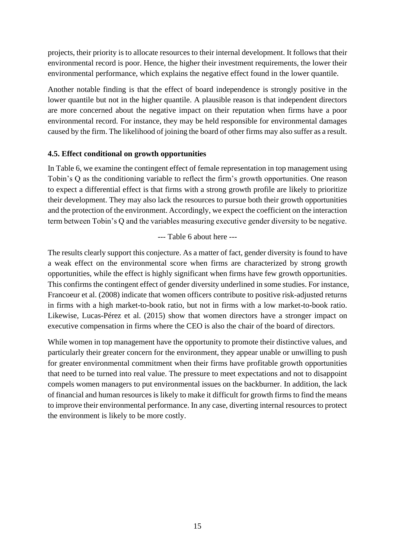projects, their priority is to allocate resources to their internal development. It follows that their environmental record is poor. Hence, the higher their investment requirements, the lower their environmental performance, which explains the negative effect found in the lower quantile.

Another notable finding is that the effect of board independence is strongly positive in the lower quantile but not in the higher quantile. A plausible reason is that independent directors are more concerned about the negative impact on their reputation when firms have a poor environmental record. For instance, they may be held responsible for environmental damages caused by the firm. The likelihood of joining the board of other firms may also suffer as a result.

# **4.5. Effect conditional on growth opportunities**

In Table 6, we examine the contingent effect of female representation in top management using Tobin's Q as the conditioning variable to reflect the firm's growth opportunities. One reason to expect a differential effect is that firms with a strong growth profile are likely to prioritize their development. They may also lack the resources to pursue both their growth opportunities and the protection of the environment. Accordingly, we expect the coefficient on the interaction term between Tobin's Q and the variables measuring executive gender diversity to be negative.

#### --- Table 6 about here ---

The results clearly support this conjecture. As a matter of fact, gender diversity is found to have a weak effect on the environmental score when firms are characterized by strong growth opportunities, while the effect is highly significant when firms have few growth opportunities. This confirms the contingent effect of gender diversity underlined in some studies. For instance, Francoeur et al. (2008) indicate that women officers contribute to positive risk-adjusted returns in firms with a high market-to-book ratio, but not in firms with a low market-to-book ratio. Likewise, Lucas-Pérez et al. (2015) show that women directors have a stronger impact on executive compensation in firms where the CEO is also the chair of the board of directors.

While women in top management have the opportunity to promote their distinctive values, and particularly their greater concern for the environment, they appear unable or unwilling to push for greater environmental commitment when their firms have profitable growth opportunities that need to be turned into real value. The pressure to meet expectations and not to disappoint compels women managers to put environmental issues on the backburner. In addition, the lack of financial and human resources is likely to make it difficult for growth firms to find the means to improve their environmental performance. In any case, diverting internal resources to protect the environment is likely to be more costly.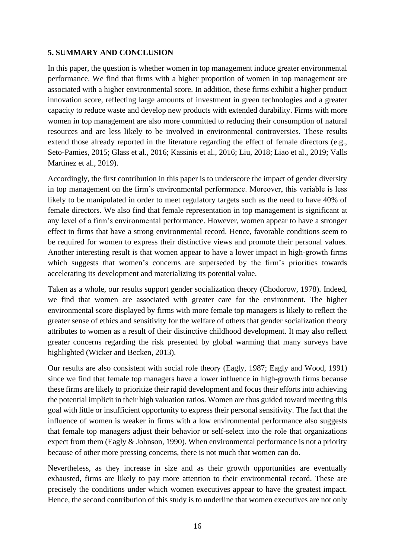# **5. SUMMARY AND CONCLUSION**

In this paper, the question is whether women in top management induce greater environmental performance. We find that firms with a higher proportion of women in top management are associated with a higher environmental score. In addition, these firms exhibit a higher product innovation score, reflecting large amounts of investment in green technologies and a greater capacity to reduce waste and develop new products with extended durability. Firms with more women in top management are also more committed to reducing their consumption of natural resources and are less likely to be involved in environmental controversies. These results extend those already reported in the literature regarding the effect of female directors (e.g., Seto-Pamies, 2015; Glass et al., 2016; Kassinis et al., 2016; Liu, 2018; Liao et al., 2019; Valls Martinez et al., 2019).

Accordingly, the first contribution in this paper is to underscore the impact of gender diversity in top management on the firm's environmental performance. Moreover, this variable is less likely to be manipulated in order to meet regulatory targets such as the need to have 40% of female directors. We also find that female representation in top management is significant at any level of a firm's environmental performance. However, women appear to have a stronger effect in firms that have a strong environmental record. Hence, favorable conditions seem to be required for women to express their distinctive views and promote their personal values. Another interesting result is that women appear to have a lower impact in high-growth firms which suggests that women's concerns are superseded by the firm's priorities towards accelerating its development and materializing its potential value.

Taken as a whole, our results support gender socialization theory (Chodorow, 1978). Indeed, we find that women are associated with greater care for the environment. The higher environmental score displayed by firms with more female top managers is likely to reflect the greater sense of ethics and sensitivity for the welfare of others that gender socialization theory attributes to women as a result of their distinctive childhood development. It may also reflect greater concerns regarding the risk presented by global warming that many surveys have highlighted (Wicker and Becken, 2013).

Our results are also consistent with social role theory (Eagly, 1987; Eagly and Wood, 1991) since we find that female top managers have a lower influence in high-growth firms because these firms are likely to prioritize their rapid development and focus their efforts into achieving the potential implicit in their high valuation ratios. Women are thus guided toward meeting this goal with little or insufficient opportunity to express their personal sensitivity. The fact that the influence of women is weaker in firms with a low environmental performance also suggests that female top managers adjust their behavior or self-select into the role that organizations expect from them (Eagly & Johnson, 1990). When environmental performance is not a priority because of other more pressing concerns, there is not much that women can do.

Nevertheless, as they increase in size and as their growth opportunities are eventually exhausted, firms are likely to pay more attention to their environmental record. These are precisely the conditions under which women executives appear to have the greatest impact. Hence, the second contribution of this study is to underline that women executives are not only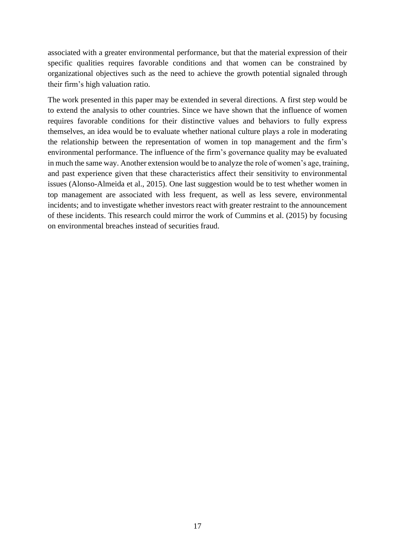associated with a greater environmental performance, but that the material expression of their specific qualities requires favorable conditions and that women can be constrained by organizational objectives such as the need to achieve the growth potential signaled through their firm's high valuation ratio.

The work presented in this paper may be extended in several directions. A first step would be to extend the analysis to other countries. Since we have shown that the influence of women requires favorable conditions for their distinctive values and behaviors to fully express themselves, an idea would be to evaluate whether national culture plays a role in moderating the relationship between the representation of women in top management and the firm's environmental performance. The influence of the firm's governance quality may be evaluated in much the same way. Another extension would be to analyze the role of women's age, training, and past experience given that these characteristics affect their sensitivity to environmental issues (Alonso-Almeida et al., 2015). One last suggestion would be to test whether women in top management are associated with less frequent, as well as less severe, environmental incidents; and to investigate whether investors react with greater restraint to the announcement of these incidents. This research could mirror the work of Cummins et al. (2015) by focusing on environmental breaches instead of securities fraud.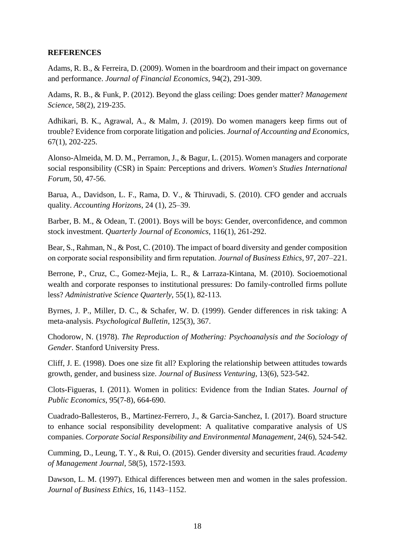#### **REFERENCES**

Adams, R. B., & Ferreira, D. (2009). Women in the boardroom and their impact on governance and performance. *Journal of Financial Economics*, 94(2), 291-309.

Adams, R. B., & Funk, P. (2012). Beyond the glass ceiling: Does gender matter? *Management Science*, 58(2), 219-235.

Adhikari, B. K., Agrawal, A., & Malm, J. (2019). Do women managers keep firms out of trouble? Evidence from corporate litigation and policies. *Journal of Accounting and Economics*, 67(1), 202-225.

Alonso-Almeida, M. D. M., Perramon, J., & Bagur, L. (2015). Women managers and corporate social responsibility (CSR) in Spain: Perceptions and drivers. *Women's Studies International Forum*, 50, 47-56.

Barua, A., Davidson, L. F., Rama, D. V., & Thiruvadi, S. (2010). CFO gender and accruals quality. *Accounting Horizons*, 24 (1), 25–39.

Barber, B. M., & Odean, T. (2001). Boys will be boys: Gender, overconfidence, and common stock investment. *Quarterly Journal of Economics*, 116(1), 261-292.

Bear, S., Rahman, N., & Post, C. (2010). The impact of board diversity and gender composition on corporate social responsibility and firm reputation. *Journal of Business Ethics*, 97, 207–221.

Berrone, P., Cruz, C., Gomez-Mejia, L. R., & Larraza-Kintana, M. (2010). Socioemotional wealth and corporate responses to institutional pressures: Do family-controlled firms pollute less? *Administrative Science Quarterly*, 55(1), 82-113.

Byrnes, J. P., Miller, D. C., & Schafer, W. D. (1999). Gender differences in risk taking: A meta-analysis. *Psychological Bulletin*, 125(3), 367.

Chodorow, N. (1978). *The Reproduction of Mothering: Psychoanalysis and the Sociology of Gender*. Stanford University Press.

Cliff, J. E. (1998). Does one size fit all? Exploring the relationship between attitudes towards growth, gender, and business size. *Journal of Business Venturing*, 13(6), 523-542.

Clots-Figueras, I. (2011). Women in politics: Evidence from the Indian States. *Journal of Public Economics*, 95(7-8), 664-690.

Cuadrado-Ballesteros, B., Martinez-Ferrero, J., & Garcia-Sanchez, I. (2017). Board structure to enhance social responsibility development: A qualitative comparative analysis of US companies. *Corporate Social Responsibility and Environmental Management*, 24(6), 524-542.

Cumming, D., Leung, T. Y., & Rui, O. (2015). Gender diversity and securities fraud. *Academy of Management Journal*, 58(5), 1572-1593.

Dawson, L. M. (1997). Ethical differences between men and women in the sales profession. *Journal of Business Ethics*, 16, 1143–1152.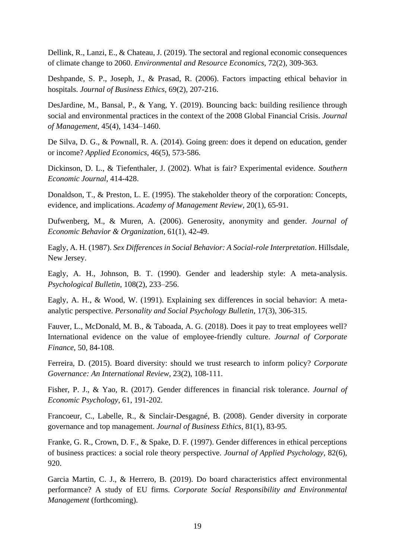Dellink, R., Lanzi, E., & Chateau, J. (2019). The sectoral and regional economic consequences of climate change to 2060. *Environmental and Resource Economics*, 72(2), 309-363.

Deshpande, S. P., Joseph, J., & Prasad, R. (2006). Factors impacting ethical behavior in hospitals. *Journal of Business Ethics*, 69(2), 207-216.

DesJardine, M., Bansal, P., & Yang, Y. (2019). Bouncing back: building resilience through social and environmental practices in the context of the 2008 Global Financial Crisis. *Journal of Management*, 45(4), 1434–1460.

De Silva, D. G., & Pownall, R. A. (2014). Going green: does it depend on education, gender or income? *Applied Economics*, 46(5), 573-586.

Dickinson, D. L., & Tiefenthaler, J. (2002). What is fair? Experimental evidence. *Southern Economic Journal*, 414-428.

Donaldson, T., & Preston, L. E. (1995). The stakeholder theory of the corporation: Concepts, evidence, and implications. *Academy of Management Review*, 20(1), 65-91.

Dufwenberg, M., & Muren, A. (2006). Generosity, anonymity and gender. *Journal of Economic Behavior & Organization*, 61(1), 42-49.

Eagly, A. H. (1987). *Sex Differences in Social Behavior: A Social-role Interpretation*. Hillsdale, New Jersey.

Eagly, A. H., Johnson, B. T. (1990). Gender and leadership style: A meta-analysis. *Psychological Bulletin*, 108(2), 233–256.

Eagly, A. H., & Wood, W. (1991). Explaining sex differences in social behavior: A metaanalytic perspective. *Personality and Social Psychology Bulletin*, 17(3), 306-315.

Fauver, L., McDonald, M. B., & Taboada, A. G. (2018). Does it pay to treat employees well? International evidence on the value of employee-friendly culture. *Journal of Corporate Finance*, 50, 84-108.

Ferreira, D. (2015). Board diversity: should we trust research to inform policy? *Corporate Governance: An International Review*, 23(2), 108-111.

Fisher, P. J., & Yao, R. (2017). Gender differences in financial risk tolerance. *Journal of Economic Psychology*, 61, 191-202.

Francoeur, C., Labelle, R., & Sinclair-Desgagné, B. (2008). Gender diversity in corporate governance and top management. *Journal of Business Ethics*, 81(1), 83-95.

Franke, G. R., Crown, D. F., & Spake, D. F. (1997). Gender differences in ethical perceptions of business practices: a social role theory perspective. *Journal of Applied Psychology*, 82(6), 920.

Garcia Martin, C. J., & Herrero, B. (2019). Do board characteristics affect environmental performance? A study of EU firms. *Corporate Social Responsibility and Environmental Management* (forthcoming).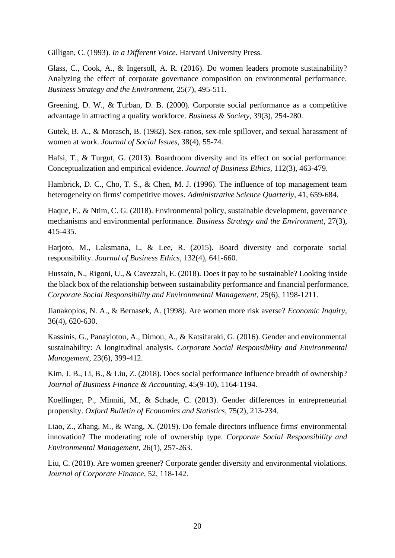Gilligan, C. (1993). *In a Different Voice*. Harvard University Press.

Glass, C., Cook, A., & Ingersoll, A. R. (2016). Do women leaders promote sustainability? Analyzing the effect of corporate governance composition on environmental performance. *Business Strategy and the Environment*, 25(7), 495-511.

Greening, D. W., & Turban, D. B. (2000). Corporate social performance as a competitive advantage in attracting a quality workforce. *Business & Society*, 39(3), 254-280.

Gutek, B. A., & Morasch, B. (1982). Sex-ratios, sex-role spillover, and sexual harassment of women at work. *Journal of Social Issues*, 38(4), 55-74.

Hafsi, T., & Turgut, G. (2013). Boardroom diversity and its effect on social performance: Conceptualization and empirical evidence. *Journal of Business Ethics*, 112(3), 463-479.

Hambrick, D. C., Cho, T. S., & Chen, M. J. (1996). The influence of top management team heterogeneity on firms' competitive moves. *Administrative Science Quarterly*, 41, 659-684.

Haque, F., & Ntim, C. G. (2018). Environmental policy, sustainable development, governance mechanisms and environmental performance. *Business Strategy and the Environment*, 27(3), 415-435.

Harjoto, M., Laksmana, I., & Lee, R. (2015). Board diversity and corporate social responsibility. *Journal of Business Ethics*, 132(4), 641-660.

Hussain, N., Rigoni, U., & Cavezzali, E. (2018). Does it pay to be sustainable? Looking inside the black box of the relationship between sustainability performance and financial performance. *Corporate Social Responsibility and Environmental Management*, 25(6), 1198-1211.

Jianakoplos, N. A., & Bernasek, A. (1998). Are women more risk averse? *Economic Inquiry*, 36(4), 620-630.

Kassinis, G., Panayiotou, A., Dimou, A., & Katsifaraki, G. (2016). Gender and environmental sustainability: A longitudinal analysis. *Corporate Social Responsibility and Environmental Management*, 23(6), 399-412.

Kim, J. B., Li, B., & Liu, Z. (2018). Does social performance influence breadth of ownership? *Journal of Business Finance & Accounting*, 45(9-10), 1164-1194.

Koellinger, P., Minniti, M., & Schade, C. (2013). Gender differences in entrepreneurial propensity. *Oxford Bulletin of Economics and Statistics*, 75(2), 213-234.

Liao, Z., Zhang, M., & Wang, X. (2019). Do female directors influence firms' environmental innovation? The moderating role of ownership type. *Corporate Social Responsibility and Environmental Management*, 26(1), 257-263.

Liu, C. (2018). Are women greener? Corporate gender diversity and environmental violations. *Journal of Corporate Finance*, 52, 118-142.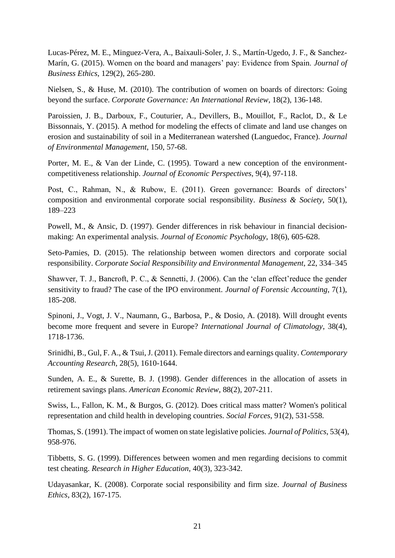Lucas-Pérez, M. E., Minguez-Vera, A., Baixauli-Soler, J. S., Martín-Ugedo, J. F., & Sanchez-Marín, G. (2015). Women on the board and managers' pay: Evidence from Spain. *Journal of Business Ethics*, 129(2), 265-280.

Nielsen, S., & Huse, M. (2010). The contribution of women on boards of directors: Going beyond the surface. *Corporate Governance: An International Review*, 18(2), 136-148.

Paroissien, J. B., Darboux, F., Couturier, A., Devillers, B., Mouillot, F., Raclot, D., & Le Bissonnais, Y. (2015). A method for modeling the effects of climate and land use changes on erosion and sustainability of soil in a Mediterranean watershed (Languedoc, France). *Journal of Environmental Management*, 150, 57-68.

Porter, M. E., & Van der Linde, C. (1995). Toward a new conception of the environmentcompetitiveness relationship. *Journal of Economic Perspectives*, 9(4), 97-118.

Post, C., Rahman, N., & Rubow, E. (2011). Green governance: Boards of directors' composition and environmental corporate social responsibility. *Business & Society*, 50(1), 189–223

Powell, M., & Ansic, D. (1997). Gender differences in risk behaviour in financial decisionmaking: An experimental analysis. *Journal of Economic Psychology*, 18(6), 605-628.

Seto-Pamies, D. (2015). The relationship between women directors and corporate social responsibility. *Corporate Social Responsibility and Environmental Management*, 22, 334–345

Shawver, T. J., Bancroft, P. C., & Sennetti, J. (2006). Can the 'clan effect'reduce the gender sensitivity to fraud? The case of the IPO environment. *Journal of Forensic Accounting*, 7(1), 185-208.

Spinoni, J., Vogt, J. V., Naumann, G., Barbosa, P., & Dosio, A. (2018). Will drought events become more frequent and severe in Europe? *International Journal of Climatology*, 38(4), 1718-1736.

Srinidhi, B., Gul, F. A., & Tsui, J. (2011). Female directors and earnings quality. *Contemporary Accounting Research*, 28(5), 1610-1644.

Sunden, A. E., & Surette, B. J. (1998). Gender differences in the allocation of assets in retirement savings plans. *American Economic Review*, 88(2), 207-211.

Swiss, L., Fallon, K. M., & Burgos, G. (2012). Does critical mass matter? Women's political representation and child health in developing countries. *Social Forces*, 91(2), 531-558.

Thomas, S. (1991). The impact of women on state legislative policies. *Journal of Politics*, 53(4), 958-976.

Tibbetts, S. G. (1999). Differences between women and men regarding decisions to commit test cheating. *Research in Higher Education*, 40(3), 323-342.

Udayasankar, K. (2008). Corporate social responsibility and firm size. *Journal of Business Ethics*, 83(2), 167-175.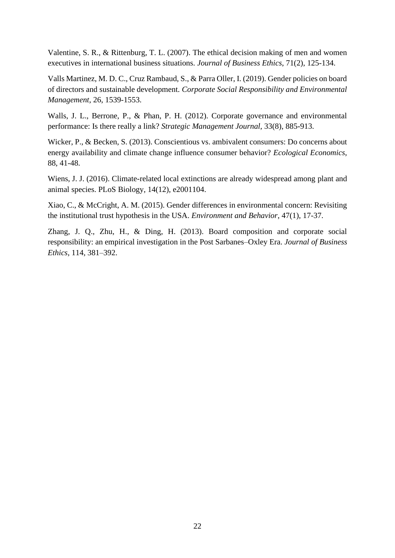Valentine, S. R., & Rittenburg, T. L. (2007). The ethical decision making of men and women executives in international business situations. *Journal of Business Ethics*, 71(2), 125-134.

Valls Martinez, M. D. C., Cruz Rambaud, S., & Parra Oller, I. (2019). Gender policies on board of directors and sustainable development. *Corporate Social Responsibility and Environmental Management*, 26, 1539-1553.

Walls, J. L., Berrone, P., & Phan, P. H. (2012). Corporate governance and environmental performance: Is there really a link? *Strategic Management Journal*, 33(8), 885-913.

Wicker, P., & Becken, S. (2013). Conscientious vs. ambivalent consumers: Do concerns about energy availability and climate change influence consumer behavior? *Ecological Economics*, 88, 41-48.

Wiens, J. J. (2016). Climate-related local extinctions are already widespread among plant and animal species. PLoS Biology, 14(12), e2001104.

Xiao, C., & McCright, A. M. (2015). Gender differences in environmental concern: Revisiting the institutional trust hypothesis in the USA. *Environment and Behavior*, 47(1), 17-37.

Zhang, J. Q., Zhu, H., & Ding, H. (2013). Board composition and corporate social responsibility: an empirical investigation in the Post Sarbanes–Oxley Era. *Journal of Business Ethics*, 114, 381–392.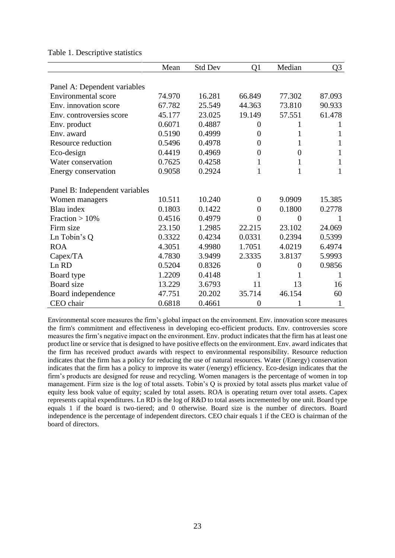Table 1. Descriptive statistics

|                                | Mean   | Std Dev | Q1               | Median         | Q3           |
|--------------------------------|--------|---------|------------------|----------------|--------------|
| Panel A: Dependent variables   |        |         |                  |                |              |
| Environmental score            | 74.970 | 16.281  | 66.849           | 77.302         | 87.093       |
| Env. innovation score          | 67.782 | 25.549  | 44.363           | 73.810         | 90.933       |
| Env. controversies score       | 45.177 | 23.025  | 19.149           | 57.551         | 61.478       |
| Env. product                   | 0.6071 | 0.4887  | $\boldsymbol{0}$ | 1              |              |
| Env. award                     | 0.5190 | 0.4999  | $\boldsymbol{0}$ | $\mathbf{1}$   | 1            |
| Resource reduction             | 0.5496 | 0.4978  | 0                | 1              | 1            |
| Eco-design                     | 0.4419 | 0.4969  | 0                | $\theta$       | 1            |
| Water conservation             | 0.7625 | 0.4258  | 1                | 1              | 1            |
| Energy conservation            | 0.9058 | 0.2924  | $\mathbf{1}$     | 1              | $\mathbf{1}$ |
| Panel B: Independent variables |        |         |                  |                |              |
| Women managers                 | 10.511 | 10.240  | $\theta$         | 9.0909         | 15.385       |
| Blau index                     | 0.1803 | 0.1422  | 0                | 0.1800         | 0.2778       |
| Fraction $>10\%$               | 0.4516 | 0.4979  | $\theta$         | $\theta$       |              |
| Firm size                      | 23.150 | 1.2985  | 22.215           | 23.102         | 24.069       |
| Ln Tobin's Q                   | 0.3322 | 0.4234  | 0.0331           | 0.2394         | 0.5399       |
| <b>ROA</b>                     | 4.3051 | 4.9980  | 1.7051           | 4.0219         | 6.4974       |
| Capex/TA                       | 4.7830 | 3.9499  | 2.3335           | 3.8137         | 5.9993       |
| Ln RD                          | 0.5204 | 0.8326  | $\overline{0}$   | $\overline{0}$ | 0.9856       |
| Board type                     | 1.2209 | 0.4148  | 1                | 1              | 1            |
| Board size                     | 13.229 | 3.6793  | 11               | 13             | 16           |
| Board independence             | 47.751 | 20.202  | 35.714           | 46.154         | 60           |
| CEO chair                      | 0.6818 | 0.4661  | $\overline{0}$   | 1              | 1            |

Environmental score measures the firm's global impact on the environment. Env. innovation score measures the firm's commitment and effectiveness in developing eco-efficient products. Env. controversies score measures the firm's negative impact on the environment. Env. product indicates that the firm has at least one product line or service that is designed to have positive effects on the environment. Env. award indicates that the firm has received product awards with respect to environmental responsibility. Resource reduction indicates that the firm has a policy for reducing the use of natural resources. Water (/Energy) conservation indicates that the firm has a policy to improve its water (/energy) efficiency. Eco-design indicates that the firm's products are designed for reuse and recycling. Women managers is the percentage of women in top management. Firm size is the log of total assets. Tobin's Q is proxied by total assets plus market value of equity less book value of equity; scaled by total assets. ROA is operating return over total assets. Capex represents capital expenditures. Ln RD is the log of R&D to total assets incremented by one unit. Board type equals 1 if the board is two-tiered; and 0 otherwise. Board size is the number of directors. Board independence is the percentage of independent directors. CEO chair equals 1 if the CEO is chairman of the board of directors.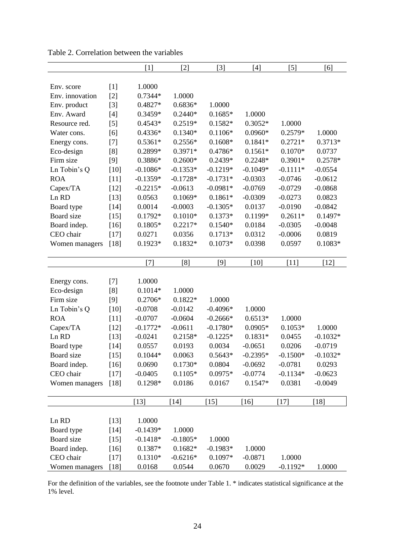|                            |        | $[1]$                   | $[2]$                  | $[3]$                    | [4]                    | $[5]$               | $[6]$      |
|----------------------------|--------|-------------------------|------------------------|--------------------------|------------------------|---------------------|------------|
|                            |        |                         |                        |                          |                        |                     |            |
| Env. score                 | $[1]$  | 1.0000                  |                        |                          |                        |                     |            |
| Env. innovation            | $[2]$  | $0.7344*$               | 1.0000                 |                          |                        |                     |            |
| Env. product               | $[3]$  | 0.4827*                 | $0.6836*$              | 1.0000                   |                        |                     |            |
| Env. Award                 | $[4]$  | 0.3459*                 | $0.2440*$              | $0.1685*$                | 1.0000                 |                     |            |
| Resource red.              | $[5]$  | $0.4543*$               | 0.2519*                | $0.1582*$                | $0.3052*$              | 1.0000              |            |
| Water cons.                | [6]    | $0.4336*$               | $0.1340*$              | $0.1106*$                | $0.0960*$              | 0.2579*             | 1.0000     |
| Energy cons.               | $[7]$  | $0.5361*$               | $0.2556*$              | $0.1608*$                | $0.1841*$              | $0.2721*$           | $0.3713*$  |
| Eco-design                 | [8]    | 0.2899*                 | $0.3971*$              | 0.4786*                  | $0.1561*$              | $0.1070*$           | 0.0737     |
| Firm size                  | $[9]$  | 0.3886*                 | $0.2600*$              | 0.2439*                  | $0.2248*$              | 0.3901*             | 0.2578*    |
| Ln Tobin's Q               | $[10]$ | $-0.1086*$              | $-0.1353*$             | $-0.1219*$               | $-0.1049*$             | $-0.1111*$          | $-0.0554$  |
| <b>ROA</b>                 | $[11]$ | $-0.1359*$              | $-0.1728*$             | $-0.1731*$               | $-0.0303$              | $-0.0746$           | $-0.0612$  |
| Capex/TA                   | $[12]$ | $-0.2215*$              | $-0.0613$              | $-0.0981*$               | $-0.0769$              | $-0.0729$           | $-0.0868$  |
| Ln RD                      | $[13]$ | 0.0563                  | $0.1069*$              | $0.1861*$                | $-0.0309$              | $-0.0273$           | 0.0823     |
| Board type                 | $[14]$ | 0.0014                  | $-0.0003$              | $-0.1305*$               | 0.0137                 | $-0.0190$           | $-0.0842$  |
| Board size                 | $[15]$ | $0.1792*$               | $0.1010*$              | $0.1373*$                | 0.1199*                | $0.2611*$           | $0.1497*$  |
| Board indep.               | $[16]$ | $0.1805*$               | $0.2217*$              | $0.1540*$                | 0.0184                 | $-0.0305$           | $-0.0048$  |
| CEO chair                  | $[17]$ | 0.0271                  | 0.0356                 | $0.1713*$                | 0.0312                 | $-0.0006$           | 0.0819     |
| Women managers             | $[18]$ | $0.1923*$               | $0.1832*$              | $0.1073*$                | 0.0398                 | 0.0597              | $0.1083*$  |
|                            |        |                         |                        |                          |                        |                     |            |
|                            |        | $[7]$                   | [8]                    | $[9]$                    | $[10]$                 | $[11]$              | $[12]$     |
|                            |        | 1.0000                  |                        |                          |                        |                     |            |
| Energy cons.               | $[7]$  | $0.1014*$               | 1.0000                 |                          |                        |                     |            |
| Eco-design                 | [8]    | 0.2706*                 | $0.1822*$              |                          |                        |                     |            |
| Firm size                  | $[9]$  |                         | $-0.0142$              | 1.0000<br>$-0.4096*$     | 1.0000                 |                     |            |
| Ln Tobin's Q<br><b>ROA</b> | $[10]$ | $-0.0708$               |                        |                          |                        |                     |            |
|                            | $[11]$ | $-0.0707$<br>$-0.1772*$ | $-0.0604$<br>$-0.0611$ | $-0.2666*$<br>$-0.1780*$ | $0.6513*$<br>$0.0905*$ | 1.0000<br>$0.1053*$ | 1.0000     |
| Capex/TA<br>Ln RD          | $[12]$ | $-0.0241$               |                        |                          |                        |                     |            |
|                            | $[13]$ |                         | $0.2158*$              | $-0.1225*$               | $0.1831*$              | 0.0455              | $-0.1032*$ |
| Board type                 | $[14]$ | 0.0557                  | 0.0193                 | 0.0034                   | $-0.0651$              | 0.0206              | $-0.0719$  |
| Board size                 | $[15]$ | $0.1044*$               | 0.0063                 | $0.5643*$                | $-0.2395*$             | $-0.1500*$          | $-0.1032*$ |
| Board indep.               | $[16]$ | 0.0690                  | $0.1730*$              | 0.0804<br>$0.0975*$      | $-0.0692$              | $-0.0781$           | 0.0293     |
| CEO chair                  | $[17]$ | $-0.0405$               | $0.1105*$              |                          | $-0.0774$              | $-0.1134*$          | $-0.0623$  |
| Women managers             | $[18]$ | $0.1298*$               | 0.0186                 | 0.0167                   | $0.1547*$              | 0.0381              | $-0.0049$  |
|                            |        | $[13]$                  | $[14]$                 | $[15]$                   | $[16]$                 | $[17]$              | $[18]$     |
|                            |        |                         |                        |                          |                        |                     |            |
| Ln RD                      | $[13]$ | 1.0000                  |                        |                          |                        |                     |            |
| Board type                 | $[14]$ | $-0.1439*$              | 1.0000                 |                          |                        |                     |            |
| Board size                 | $[15]$ | $-0.1418*$              | $-0.1805*$             | 1.0000                   |                        |                     |            |
| Board indep.               | $[16]$ | 0.1387*                 | $0.1682*$              | $-0.1983*$               | 1.0000                 |                     |            |
| CEO chair                  | $[17]$ | $0.1310*$               | $-0.6216*$             | $0.1097*$                | $-0.0871$              | 1.0000              |            |
| Women managers             | $[18]$ | 0.0168                  | 0.0544                 | 0.0670                   | 0.0029                 | $-0.1192*$          | 1.0000     |

Table 2. Correlation between the variables

For the definition of the variables, see the footnote under Table 1. \* indicates statistical significance at the 1% level.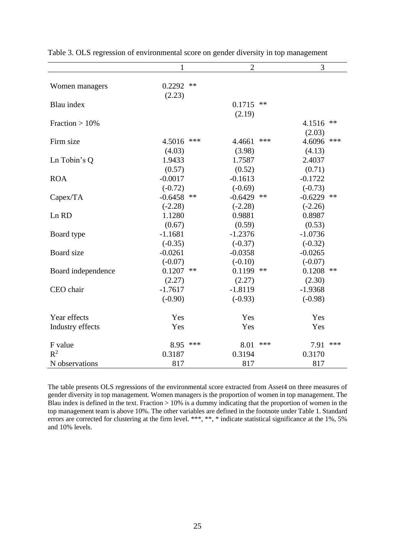|                    | $\mathbf{1}$     |            | $\overline{2}$ |       | 3         |            |
|--------------------|------------------|------------|----------------|-------|-----------|------------|
| Women managers     | 0.2292<br>(2.23) | $**$       |                |       |           |            |
| Blau index         |                  |            | 0.1715         | $***$ |           |            |
|                    |                  |            | (2.19)         |       |           |            |
| Fraction $>10\%$   |                  |            |                |       | 4.1516    | $**$       |
|                    |                  |            |                |       | (2.03)    |            |
| Firm size          | 4.5016           | ***        | 4.4661         | ***   | 4.6096    | ***        |
|                    | (4.03)           |            | (3.98)         |       | (4.13)    |            |
| Ln Tobin's Q       | 1.9433           |            | 1.7587         |       | 2.4037    |            |
|                    | (0.57)           |            | (0.52)         |       | (0.71)    |            |
| <b>ROA</b>         | $-0.0017$        |            | $-0.1613$      |       | $-0.1722$ |            |
|                    | $(-0.72)$        |            | $(-0.69)$      |       | $(-0.73)$ |            |
| Capex/TA           | $-0.6458$        | $\ast\ast$ | $-0.6429$      | **    | $-0.6229$ | $**$       |
|                    | $(-2.28)$        |            | $(-2.28)$      |       | $(-2.26)$ |            |
| Ln RD              | 1.1280           |            | 0.9881         |       | 0.8987    |            |
|                    | (0.67)           |            | (0.59)         |       | (0.53)    |            |
| Board type         | $-1.1681$        |            | $-1.2376$      |       | $-1.0736$ |            |
|                    | $(-0.35)$        |            | $(-0.37)$      |       | $(-0.32)$ |            |
| Board size         | $-0.0261$        |            | $-0.0358$      |       | $-0.0265$ |            |
|                    | $(-0.07)$        |            | $(-0.10)$      |       | $(-0.07)$ |            |
| Board independence | 0.1207           | **         | 0.1199         | $**$  | 0.1208    | $\ast\ast$ |
|                    | (2.27)           |            | (2.27)         |       | (2.30)    |            |
| CEO chair          | $-1.7617$        |            | $-1.8119$      |       | $-1.9368$ |            |
|                    | $(-0.90)$        |            | $(-0.93)$      |       | $(-0.98)$ |            |
| Year effects       | Yes              |            | Yes            |       | Yes       |            |
| Industry effects   | Yes              |            | Yes            |       | Yes       |            |
|                    |                  |            |                |       |           |            |
| F value            | 8.95             | ***        | 8.01           | ***   | 7.91      | ***        |
| $R^2$              | 0.3187           |            | 0.3194         |       | 0.3170    |            |
| N observations     | 817              |            | 817            |       | 817       |            |

Table 3. OLS regression of environmental score on gender diversity in top management

The table presents OLS regressions of the environmental score extracted from Asset4 on three measures of gender diversity in top management. Women managers is the proportion of women in top management. The Blau index is defined in the text. Fraction  $> 10\%$  is a dummy indicating that the proportion of women in the top management team is above 10%. The other variables are defined in the footnote under Table 1. Standard errors are corrected for clustering at the firm level. \*\*\*, \*\*, \* indicate statistical significance at the 1%, 5% and 10% levels.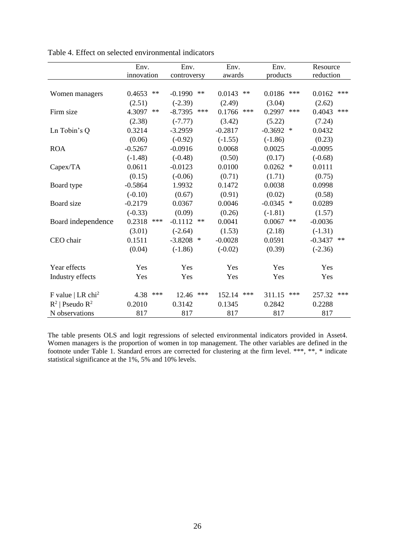|                               | Env.                 | Env.                | Env.           | Env.                 | Resource          |
|-------------------------------|----------------------|---------------------|----------------|----------------------|-------------------|
|                               | innovation           | controversy         | awards         | products             | reduction         |
|                               |                      |                     |                |                      |                   |
| Women managers                | 0.4653<br>$**$       | $**$<br>$-0.1990$   | 0.0143<br>$**$ | 0.0186<br>***        | 0.0162<br>$***$   |
|                               | (2.51)               | $(-2.39)$           | (2.49)         | (3.04)               | (2.62)            |
| Firm size                     | 4.3097<br>$\ast\ast$ | $-8.7395$<br>$***$  | 0.1766<br>***  | 0.2997<br>$***$      | 0.4043<br>***     |
|                               | (2.38)               | $(-7.77)$           | (3.42)         | (5.22)               | (7.24)            |
| Ln Tobin's Q                  | 0.3214               | $-3.2959$           | $-0.2817$      | $-0.3692$<br>$\ast$  | 0.0432            |
|                               | (0.06)               | $(-0.92)$           | $(-1.55)$      | $(-1.86)$            | (0.23)            |
| <b>ROA</b>                    | $-0.5267$            | $-0.0916$           | 0.0068         | 0.0025               | $-0.0095$         |
|                               | $(-1.48)$            | $(-0.48)$           | (0.50)         | (0.17)               | $(-0.68)$         |
| Capex/TA                      | 0.0611               | $-0.0123$           | 0.0100         | 0.0262<br>$\ast$     | 0.0111            |
|                               | (0.15)               | $(-0.06)$           | (0.71)         | (1.71)               | (0.75)            |
| Board type                    | $-0.5864$            | 1.9932              | 0.1472         | 0.0038               | 0.0998            |
|                               | $(-0.10)$            | (0.67)              | (0.91)         | (0.02)               | (0.58)            |
| Board size                    | $-0.2179$            | 0.0367              | 0.0046         | $-0.0345$ *          | 0.0289            |
|                               | $(-0.33)$            | (0.09)              | (0.26)         | $(-1.81)$            | (1.57)            |
| Board independence            | 0.2318<br>***        | $-0.1112$<br>$**$   | 0.0041         | 0.0067<br>$\ast\ast$ | $-0.0036$         |
|                               | (3.01)               | $(-2.64)$           | (1.53)         | (2.18)               | $(-1.31)$         |
| CEO chair                     | 0.1511               | $-3.8208$<br>$\ast$ | $-0.0028$      | 0.0591               | $-0.3437$<br>$**$ |
|                               | (0.04)               | $(-1.86)$           | $(-0.02)$      | (0.39)               | $(-2.36)$         |
|                               |                      |                     |                |                      |                   |
| Year effects                  | Yes                  | Yes                 | Yes            | Yes                  | Yes               |
| Industry effects              | Yes                  | Yes                 | Yes            | Yes                  | Yes               |
|                               |                      |                     |                |                      |                   |
| F value   LR chi <sup>2</sup> | 4.38<br>***          | ***<br>12.46        | ***<br>152.14  | $***$<br>311.15      | 257.32<br>***     |
| $R^2$   Pseudo $R^2$          | 0.2010               | 0.3142              | 0.1345         | 0.2842               | 0.2288            |
| N observations                | 817                  | 817                 | 817            | 817                  | 817               |

Table 4. Effect on selected environmental indicators

The table presents OLS and logit regressions of selected environmental indicators provided in Asset4. Women managers is the proportion of women in top management. The other variables are defined in the footnote under Table 1. Standard errors are corrected for clustering at the firm level. \*\*\*, \*\*, \* indicate statistical significance at the 1%, 5% and 10% levels.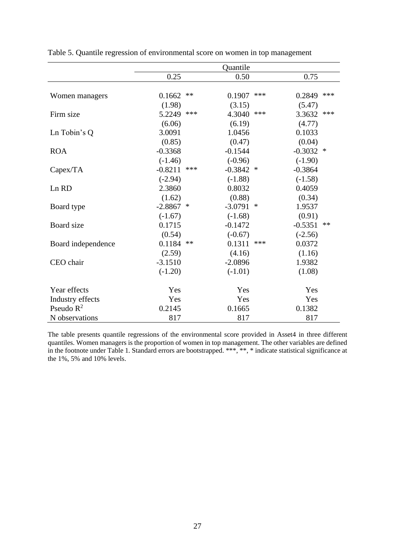|                    |           |       | Quantile  |        |             |     |
|--------------------|-----------|-------|-----------|--------|-------------|-----|
|                    | 0.25      |       | 0.50      |        | 0.75        |     |
|                    |           |       |           |        |             |     |
| Women managers     | 0.1662    | **    | 0.1907    | ***    | 0.2849      | *** |
|                    | (1.98)    |       | (3.15)    |        | (5.47)      |     |
| Firm size          | 5.2249    | ***   | 4.3040    | ***    | 3.3632      | *** |
|                    | (6.06)    |       | (6.19)    |        | (4.77)      |     |
| Ln Tobin's Q       | 3.0091    |       | 1.0456    |        | 0.1033      |     |
|                    | (0.85)    |       | (0.47)    |        | (0.04)      |     |
| <b>ROA</b>         | $-0.3368$ |       | $-0.1544$ |        | $-0.3032$ * |     |
|                    | $(-1.46)$ |       | $(-0.96)$ |        | $(-1.90)$   |     |
| Capex/TA           | $-0.8211$ | ***   | $-0.3842$ | ∗      | $-0.3864$   |     |
|                    | $(-2.94)$ |       | $(-1.88)$ |        | $(-1.58)$   |     |
| Ln RD              | 2.3860    |       | 0.8032    |        | 0.4059      |     |
|                    | (1.62)    |       | (0.88)    |        | (0.34)      |     |
| Board type         | $-2.8867$ | ∗     | $-3.0791$ | $\ast$ | 1.9537      |     |
|                    | $(-1.67)$ |       | $(-1.68)$ |        | (0.91)      |     |
| Board size         | 0.1715    |       | $-0.1472$ |        | $-0.5351$   | **  |
|                    | (0.54)    |       | $(-0.67)$ |        | $(-2.56)$   |     |
| Board independence | 0.1184    | $***$ | 0.1311    | ***    | 0.0372      |     |
|                    | (2.59)    |       | (4.16)    |        | (1.16)      |     |
| CEO chair          | $-3.1510$ |       | $-2.0896$ |        | 1.9382      |     |
|                    | $(-1.20)$ |       | $(-1.01)$ |        | (1.08)      |     |
| Year effects       | Yes       |       | Yes       |        | Yes         |     |
| Industry effects   | Yes       |       | Yes       |        | Yes         |     |
| Pseudo $R^2$       | 0.2145    |       | 0.1665    |        | 0.1382      |     |
| N observations     | 817       |       | 817       |        | 817         |     |

Table 5. Quantile regression of environmental score on women in top management

The table presents quantile regressions of the environmental score provided in Asset4 in three different quantiles. Women managers is the proportion of women in top management. The other variables are defined in the footnote under Table 1. Standard errors are bootstrapped. \*\*\*, \*\*, \* indicate statistical significance at the 1%, 5% and 10% levels.